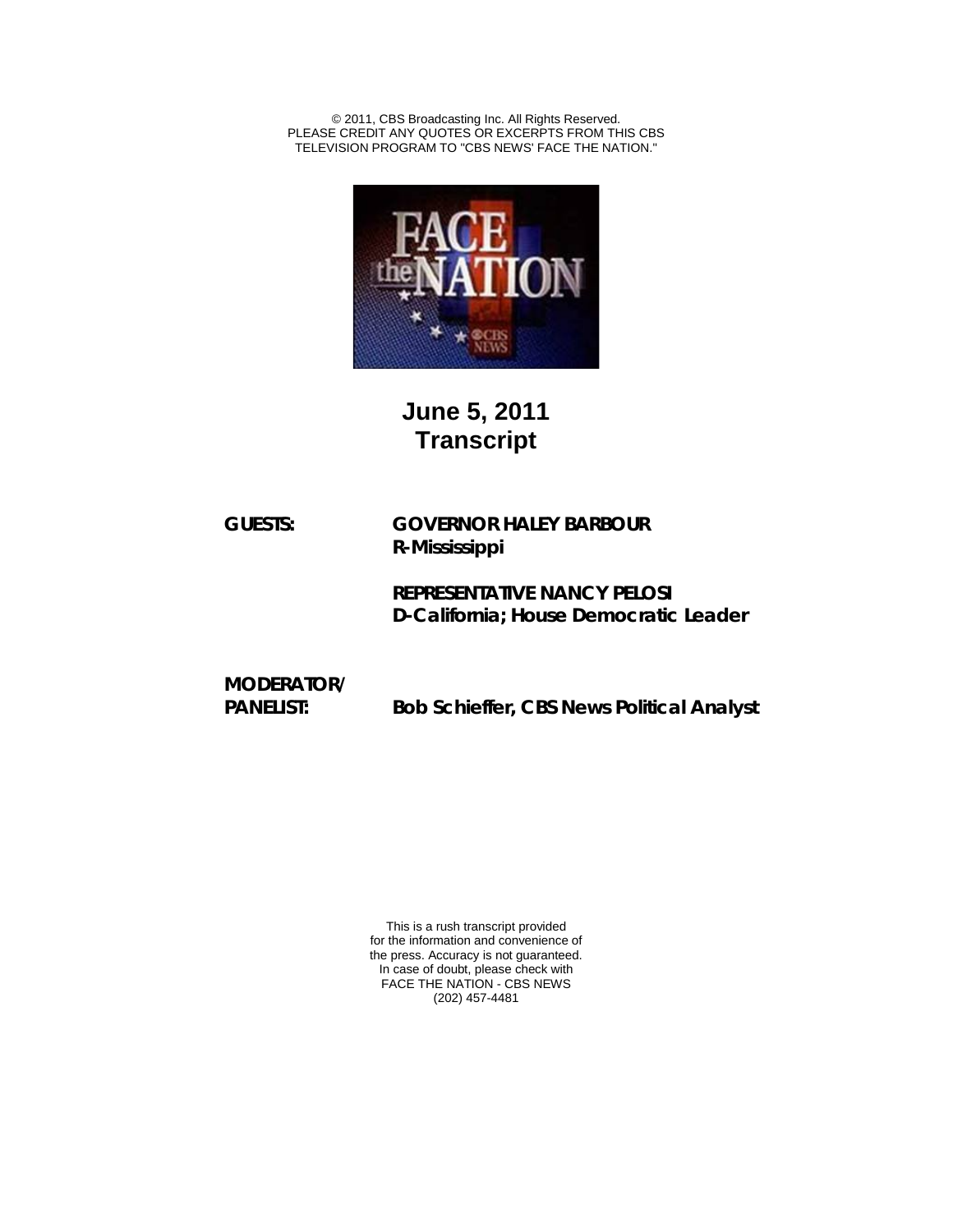© 2011, CBS Broadcasting Inc. All Rights Reserved. PLEASE CREDIT ANY QUOTES OR EXCERPTS FROM THIS CBS TELEVISION PROGRAM TO "CBS NEWS' FACE THE NATION."



## **June 5, 2011 Transcript**

**GUESTS: GOVERNOR HALEY BARBOUR R-Mississippi**

> **REPRESENTATIVE NANCY PELOSI D-California; House Democratic Leader**

**MODERATOR/ PANELIST: Bob Schieffer, CBS News Political Analyst**

> This is a rush transcript provided for the information and convenience of the press. Accuracy is not guaranteed. In case of doubt, please check with FACE THE NATION - CBS NEWS (202) 457-4481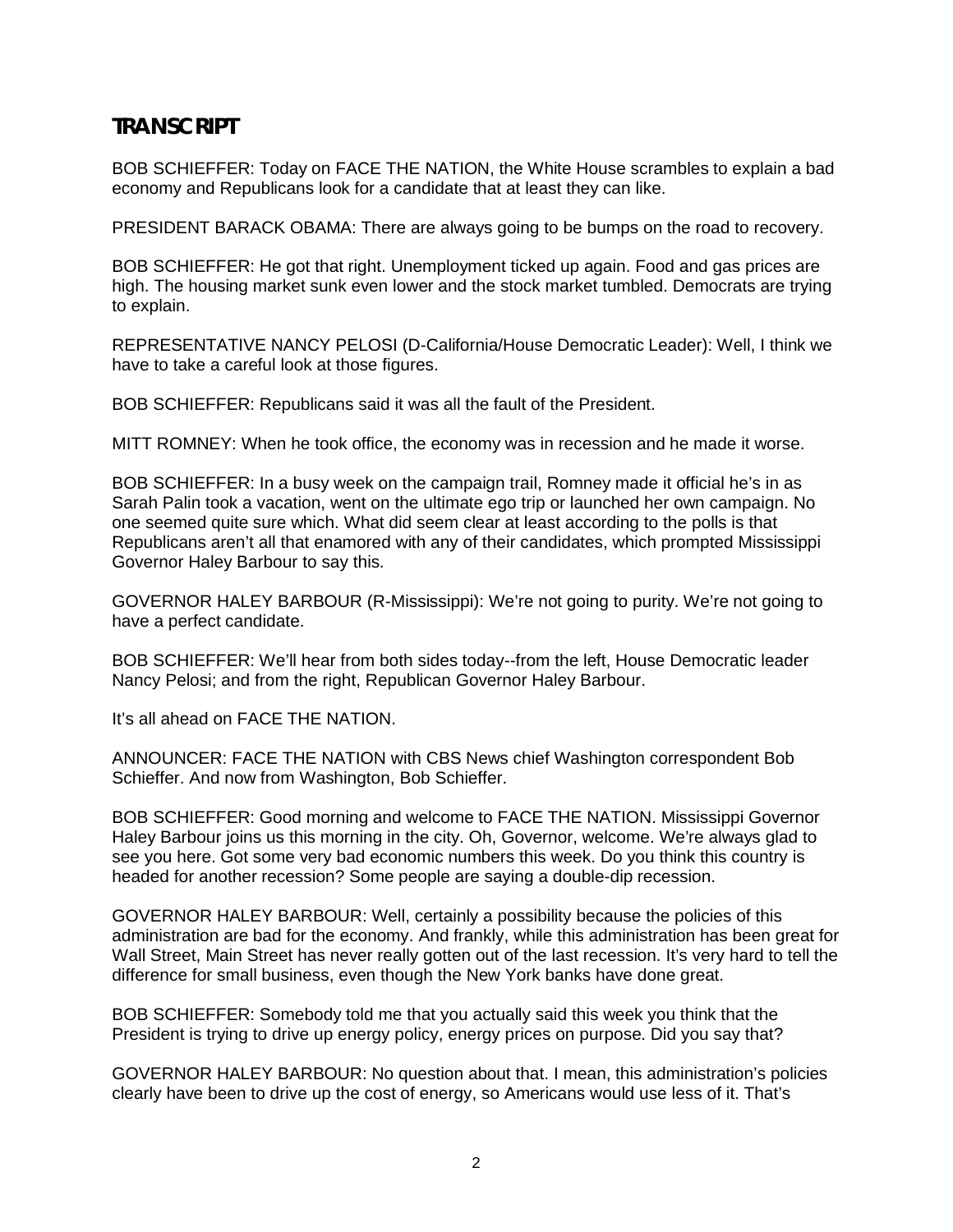## **TRANSCRIPT**

BOB SCHIEFFER: Today on FACE THE NATION, the White House scrambles to explain a bad economy and Republicans look for a candidate that at least they can like.

PRESIDENT BARACK OBAMA: There are always going to be bumps on the road to recovery.

BOB SCHIEFFER: He got that right. Unemployment ticked up again. Food and gas prices are high. The housing market sunk even lower and the stock market tumbled. Democrats are trying to explain.

REPRESENTATIVE NANCY PELOSI (D-California/House Democratic Leader): Well, I think we have to take a careful look at those figures.

BOB SCHIEFFER: Republicans said it was all the fault of the President.

MITT ROMNEY: When he took office, the economy was in recession and he made it worse.

BOB SCHIEFFER: In a busy week on the campaign trail, Romney made it official he's in as Sarah Palin took a vacation, went on the ultimate ego trip or launched her own campaign. No one seemed quite sure which. What did seem clear at least according to the polls is that Republicans aren't all that enamored with any of their candidates, which prompted Mississippi Governor Haley Barbour to say this.

GOVERNOR HALEY BARBOUR (R-Mississippi): We're not going to purity. We're not going to have a perfect candidate.

BOB SCHIEFFER: We'll hear from both sides today--from the left, House Democratic leader Nancy Pelosi; and from the right, Republican Governor Haley Barbour.

It's all ahead on FACE THE NATION.

ANNOUNCER: FACE THE NATION with CBS News chief Washington correspondent Bob Schieffer. And now from Washington, Bob Schieffer.

BOB SCHIEFFER: Good morning and welcome to FACE THE NATION. Mississippi Governor Haley Barbour joins us this morning in the city. Oh, Governor, welcome. We're always glad to see you here. Got some very bad economic numbers this week. Do you think this country is headed for another recession? Some people are saying a double-dip recession.

GOVERNOR HALEY BARBOUR: Well, certainly a possibility because the policies of this administration are bad for the economy. And frankly, while this administration has been great for Wall Street, Main Street has never really gotten out of the last recession. It's very hard to tell the difference for small business, even though the New York banks have done great.

BOB SCHIEFFER: Somebody told me that you actually said this week you think that the President is trying to drive up energy policy, energy prices on purpose. Did you say that?

GOVERNOR HALEY BARBOUR: No question about that. I mean, this administration's policies clearly have been to drive up the cost of energy, so Americans would use less of it. That's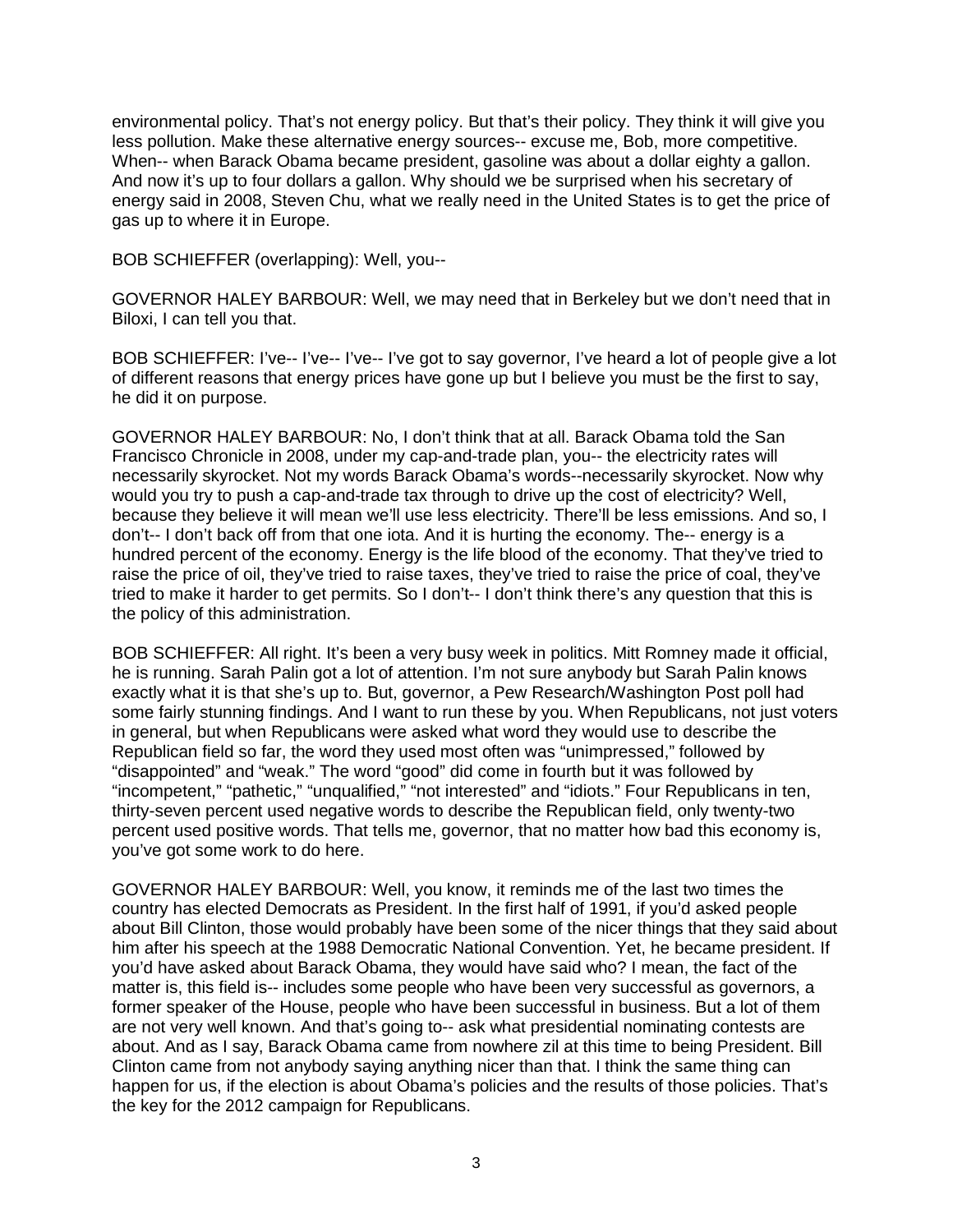environmental policy. That's not energy policy. But that's their policy. They think it will give you less pollution. Make these alternative energy sources-- excuse me, Bob, more competitive. When-- when Barack Obama became president, gasoline was about a dollar eighty a gallon. And now it's up to four dollars a gallon. Why should we be surprised when his secretary of energy said in 2008, Steven Chu, what we really need in the United States is to get the price of gas up to where it in Europe.

BOB SCHIEFFER (overlapping): Well, you--

GOVERNOR HALEY BARBOUR: Well, we may need that in Berkeley but we don't need that in Biloxi, I can tell you that.

BOB SCHIEFFER: I've-- I've-- I've-- I've got to say governor, I've heard a lot of people give a lot of different reasons that energy prices have gone up but I believe you must be the first to say, he did it on purpose.

GOVERNOR HALEY BARBOUR: No, I don't think that at all. Barack Obama told the San Francisco Chronicle in 2008, under my cap-and-trade plan, you-- the electricity rates will necessarily skyrocket. Not my words Barack Obama's words--necessarily skyrocket. Now why would you try to push a cap-and-trade tax through to drive up the cost of electricity? Well, because they believe it will mean we'll use less electricity. There'll be less emissions. And so, I don't-- I don't back off from that one iota. And it is hurting the economy. The-- energy is a hundred percent of the economy. Energy is the life blood of the economy. That they've tried to raise the price of oil, they've tried to raise taxes, they've tried to raise the price of coal, they've tried to make it harder to get permits. So I don't-- I don't think there's any question that this is the policy of this administration.

BOB SCHIEFFER: All right. It's been a very busy week in politics. Mitt Romney made it official, he is running. Sarah Palin got a lot of attention. I'm not sure anybody but Sarah Palin knows exactly what it is that she's up to. But, governor, a Pew Research/Washington Post poll had some fairly stunning findings. And I want to run these by you. When Republicans, not just voters in general, but when Republicans were asked what word they would use to describe the Republican field so far, the word they used most often was "unimpressed," followed by "disappointed" and "weak." The word "good" did come in fourth but it was followed by "incompetent," "pathetic," "unqualified," "not interested" and "idiots." Four Republicans in ten, thirty-seven percent used negative words to describe the Republican field, only twenty-two percent used positive words. That tells me, governor, that no matter how bad this economy is, you've got some work to do here.

GOVERNOR HALEY BARBOUR: Well, you know, it reminds me of the last two times the country has elected Democrats as President. In the first half of 1991, if you'd asked people about Bill Clinton, those would probably have been some of the nicer things that they said about him after his speech at the 1988 Democratic National Convention. Yet, he became president. If you'd have asked about Barack Obama, they would have said who? I mean, the fact of the matter is, this field is-- includes some people who have been very successful as governors, a former speaker of the House, people who have been successful in business. But a lot of them are not very well known. And that's going to-- ask what presidential nominating contests are about. And as I say, Barack Obama came from nowhere zil at this time to being President. Bill Clinton came from not anybody saying anything nicer than that. I think the same thing can happen for us, if the election is about Obama's policies and the results of those policies. That's the key for the 2012 campaign for Republicans.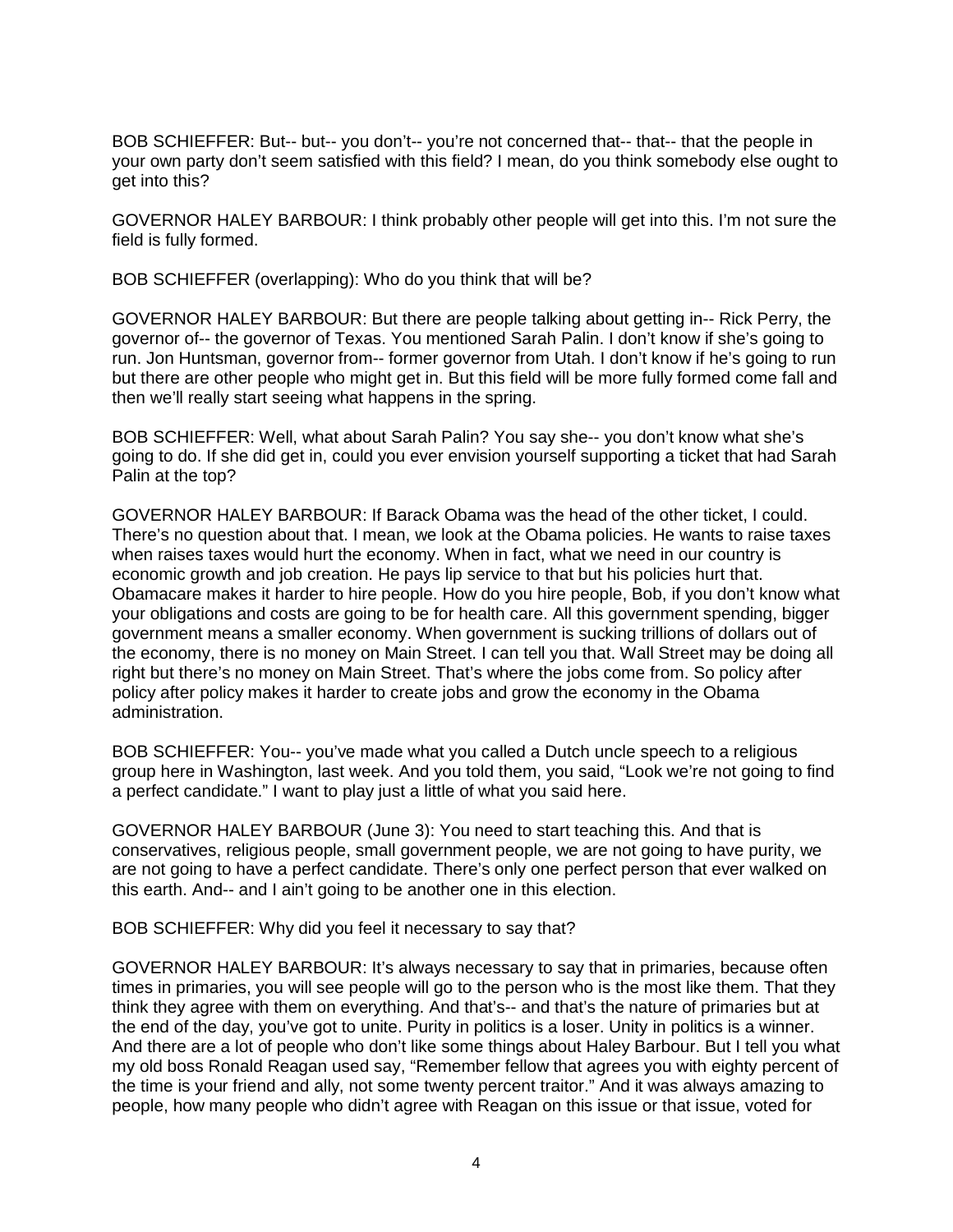BOB SCHIEFFER: But-- but-- you don't-- you're not concerned that-- that-- that the people in your own party don't seem satisfied with this field? I mean, do you think somebody else ought to get into this?

GOVERNOR HALEY BARBOUR: I think probably other people will get into this. I'm not sure the field is fully formed.

BOB SCHIEFFER (overlapping): Who do you think that will be?

GOVERNOR HALEY BARBOUR: But there are people talking about getting in-- Rick Perry, the governor of-- the governor of Texas. You mentioned Sarah Palin. I don't know if she's going to run. Jon Huntsman, governor from-- former governor from Utah. I don't know if he's going to run but there are other people who might get in. But this field will be more fully formed come fall and then we'll really start seeing what happens in the spring.

BOB SCHIEFFER: Well, what about Sarah Palin? You say she-- you don't know what she's going to do. If she did get in, could you ever envision yourself supporting a ticket that had Sarah Palin at the top?

GOVERNOR HALEY BARBOUR: If Barack Obama was the head of the other ticket, I could. There's no question about that. I mean, we look at the Obama policies. He wants to raise taxes when raises taxes would hurt the economy. When in fact, what we need in our country is economic growth and job creation. He pays lip service to that but his policies hurt that. Obamacare makes it harder to hire people. How do you hire people, Bob, if you don't know what your obligations and costs are going to be for health care. All this government spending, bigger government means a smaller economy. When government is sucking trillions of dollars out of the economy, there is no money on Main Street. I can tell you that. Wall Street may be doing all right but there's no money on Main Street. That's where the jobs come from. So policy after policy after policy makes it harder to create jobs and grow the economy in the Obama administration.

BOB SCHIEFFER: You-- you've made what you called a Dutch uncle speech to a religious group here in Washington, last week. And you told them, you said, "Look we're not going to find a perfect candidate." I want to play just a little of what you said here.

GOVERNOR HALEY BARBOUR (June 3): You need to start teaching this. And that is conservatives, religious people, small government people, we are not going to have purity, we are not going to have a perfect candidate. There's only one perfect person that ever walked on this earth. And-- and I ain't going to be another one in this election.

BOB SCHIEFFER: Why did you feel it necessary to say that?

GOVERNOR HALEY BARBOUR: It's always necessary to say that in primaries, because often times in primaries, you will see people will go to the person who is the most like them. That they think they agree with them on everything. And that's-- and that's the nature of primaries but at the end of the day, you've got to unite. Purity in politics is a loser. Unity in politics is a winner. And there are a lot of people who don't like some things about Haley Barbour. But I tell you what my old boss Ronald Reagan used say, "Remember fellow that agrees you with eighty percent of the time is your friend and ally, not some twenty percent traitor." And it was always amazing to people, how many people who didn't agree with Reagan on this issue or that issue, voted for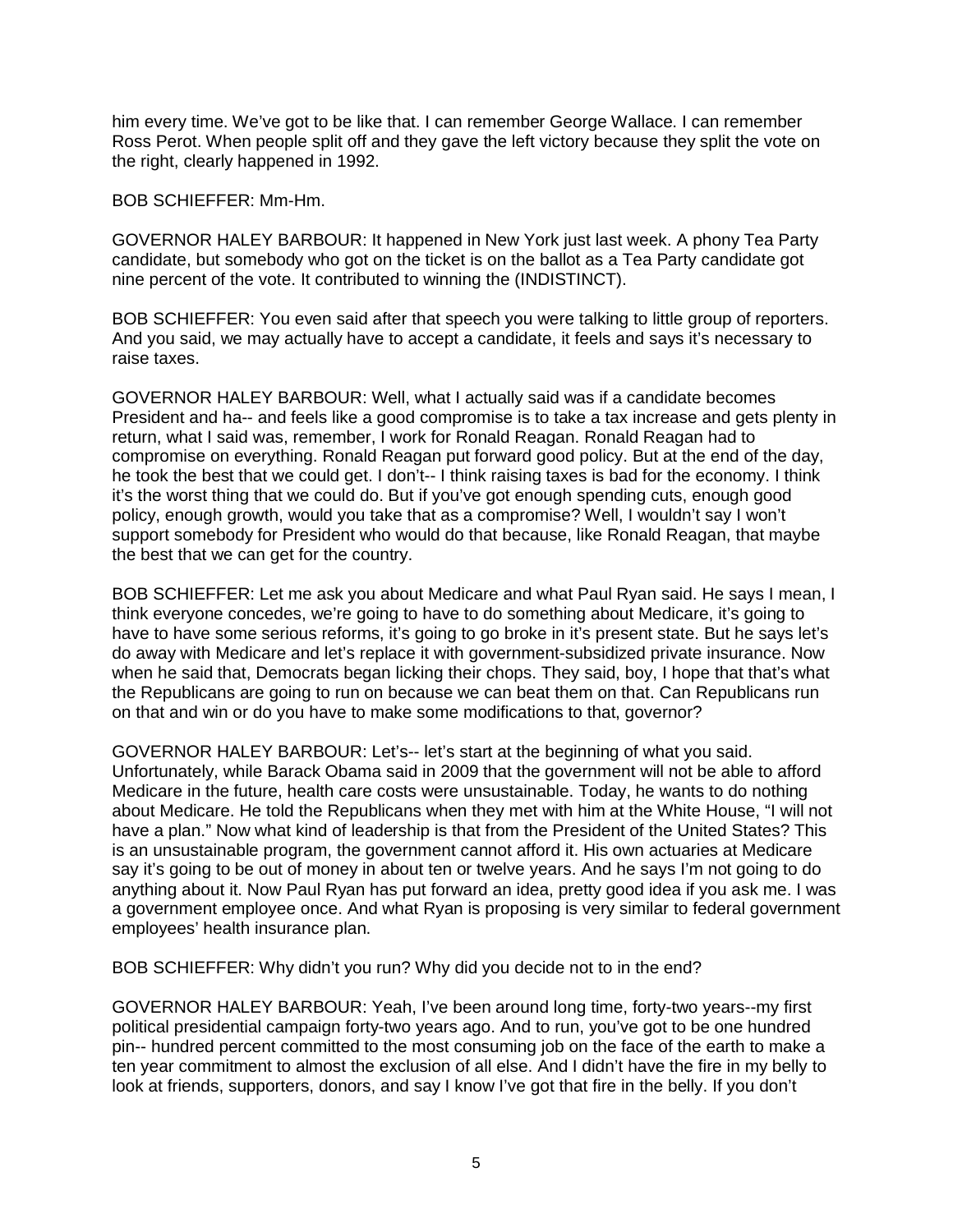him every time. We've got to be like that. I can remember George Wallace. I can remember Ross Perot. When people split off and they gave the left victory because they split the vote on the right, clearly happened in 1992.

BOB SCHIEFFER: Mm-Hm.

GOVERNOR HALEY BARBOUR: It happened in New York just last week. A phony Tea Party candidate, but somebody who got on the ticket is on the ballot as a Tea Party candidate got nine percent of the vote. It contributed to winning the (INDISTINCT).

BOB SCHIEFFER: You even said after that speech you were talking to little group of reporters. And you said, we may actually have to accept a candidate, it feels and says it's necessary to raise taxes.

GOVERNOR HALEY BARBOUR: Well, what I actually said was if a candidate becomes President and ha-- and feels like a good compromise is to take a tax increase and gets plenty in return, what I said was, remember, I work for Ronald Reagan. Ronald Reagan had to compromise on everything. Ronald Reagan put forward good policy. But at the end of the day, he took the best that we could get. I don't-- I think raising taxes is bad for the economy. I think it's the worst thing that we could do. But if you've got enough spending cuts, enough good policy, enough growth, would you take that as a compromise? Well, I wouldn't say I won't support somebody for President who would do that because, like Ronald Reagan, that maybe the best that we can get for the country.

BOB SCHIEFFER: Let me ask you about Medicare and what Paul Ryan said. He says I mean, I think everyone concedes, we're going to have to do something about Medicare, it's going to have to have some serious reforms, it's going to go broke in it's present state. But he says let's do away with Medicare and let's replace it with government-subsidized private insurance. Now when he said that, Democrats began licking their chops. They said, boy, I hope that that's what the Republicans are going to run on because we can beat them on that. Can Republicans run on that and win or do you have to make some modifications to that, governor?

GOVERNOR HALEY BARBOUR: Let's-- let's start at the beginning of what you said. Unfortunately, while Barack Obama said in 2009 that the government will not be able to afford Medicare in the future, health care costs were unsustainable. Today, he wants to do nothing about Medicare. He told the Republicans when they met with him at the White House, "I will not have a plan." Now what kind of leadership is that from the President of the United States? This is an unsustainable program, the government cannot afford it. His own actuaries at Medicare say it's going to be out of money in about ten or twelve years. And he says I'm not going to do anything about it. Now Paul Ryan has put forward an idea, pretty good idea if you ask me. I was a government employee once. And what Ryan is proposing is very similar to federal government employees' health insurance plan.

BOB SCHIEFFER: Why didn't you run? Why did you decide not to in the end?

GOVERNOR HALEY BARBOUR: Yeah, I've been around long time, forty-two years--my first political presidential campaign forty-two years ago. And to run, you've got to be one hundred pin-- hundred percent committed to the most consuming job on the face of the earth to make a ten year commitment to almost the exclusion of all else. And I didn't have the fire in my belly to look at friends, supporters, donors, and say I know I've got that fire in the belly. If you don't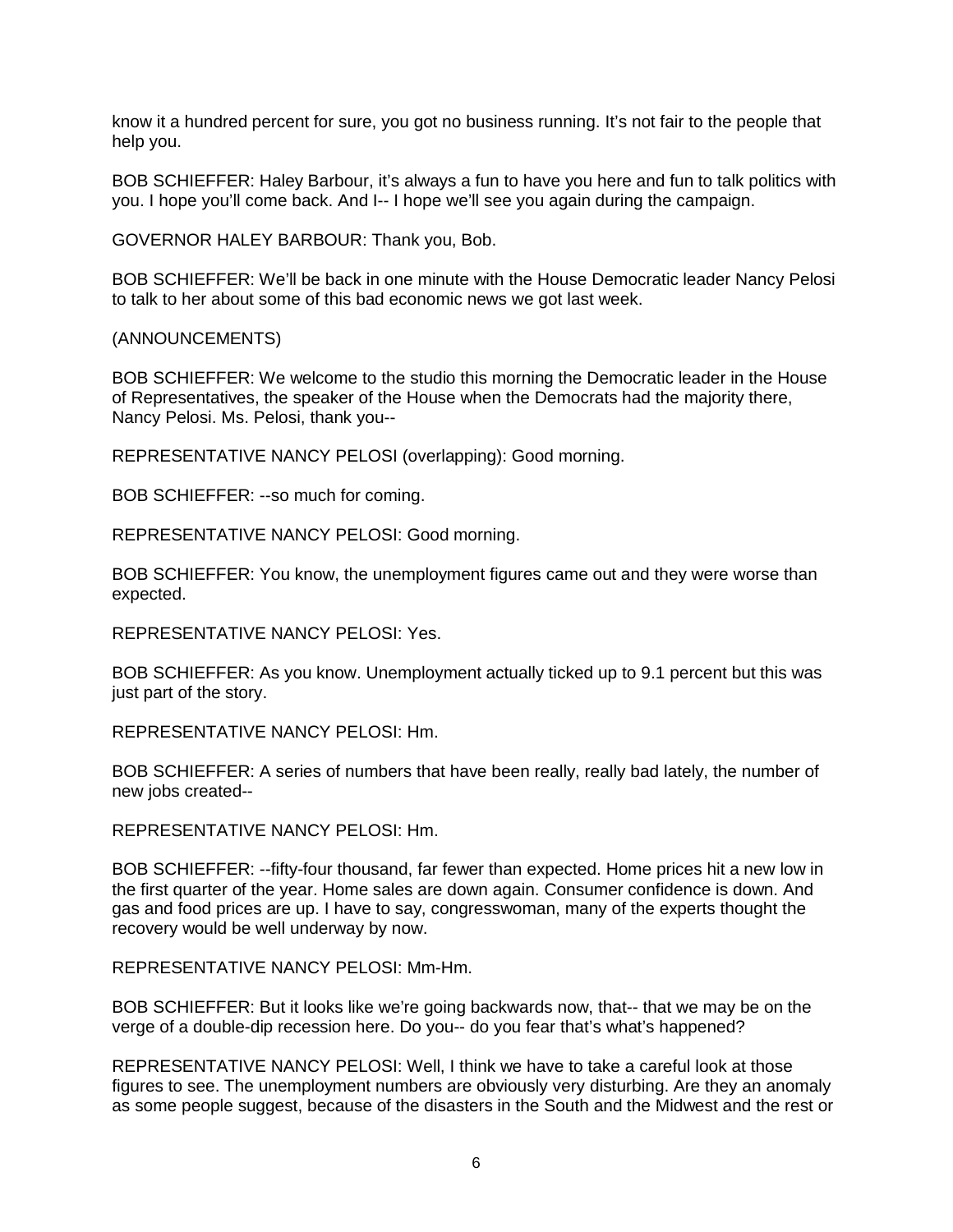know it a hundred percent for sure, you got no business running. It's not fair to the people that help you.

BOB SCHIEFFER: Haley Barbour, it's always a fun to have you here and fun to talk politics with you. I hope you'll come back. And I-- I hope we'll see you again during the campaign.

GOVERNOR HALEY BARBOUR: Thank you, Bob.

BOB SCHIEFFER: We'll be back in one minute with the House Democratic leader Nancy Pelosi to talk to her about some of this bad economic news we got last week.

(ANNOUNCEMENTS)

BOB SCHIEFFER: We welcome to the studio this morning the Democratic leader in the House of Representatives, the speaker of the House when the Democrats had the majority there, Nancy Pelosi. Ms. Pelosi, thank you--

REPRESENTATIVE NANCY PELOSI (overlapping): Good morning.

BOB SCHIEFFER: --so much for coming.

REPRESENTATIVE NANCY PELOSI: Good morning.

BOB SCHIEFFER: You know, the unemployment figures came out and they were worse than expected.

REPRESENTATIVE NANCY PELOSI: Yes.

BOB SCHIEFFER: As you know. Unemployment actually ticked up to 9.1 percent but this was just part of the story.

REPRESENTATIVE NANCY PELOSI: Hm.

BOB SCHIEFFER: A series of numbers that have been really, really bad lately, the number of new jobs created--

REPRESENTATIVE NANCY PELOSI: Hm.

BOB SCHIEFFER: --fifty-four thousand, far fewer than expected. Home prices hit a new low in the first quarter of the year. Home sales are down again. Consumer confidence is down. And gas and food prices are up. I have to say, congresswoman, many of the experts thought the recovery would be well underway by now.

REPRESENTATIVE NANCY PELOSI: Mm-Hm.

BOB SCHIEFFER: But it looks like we're going backwards now, that-- that we may be on the verge of a double-dip recession here. Do you-- do you fear that's what's happened?

REPRESENTATIVE NANCY PELOSI: Well, I think we have to take a careful look at those figures to see. The unemployment numbers are obviously very disturbing. Are they an anomaly as some people suggest, because of the disasters in the South and the Midwest and the rest or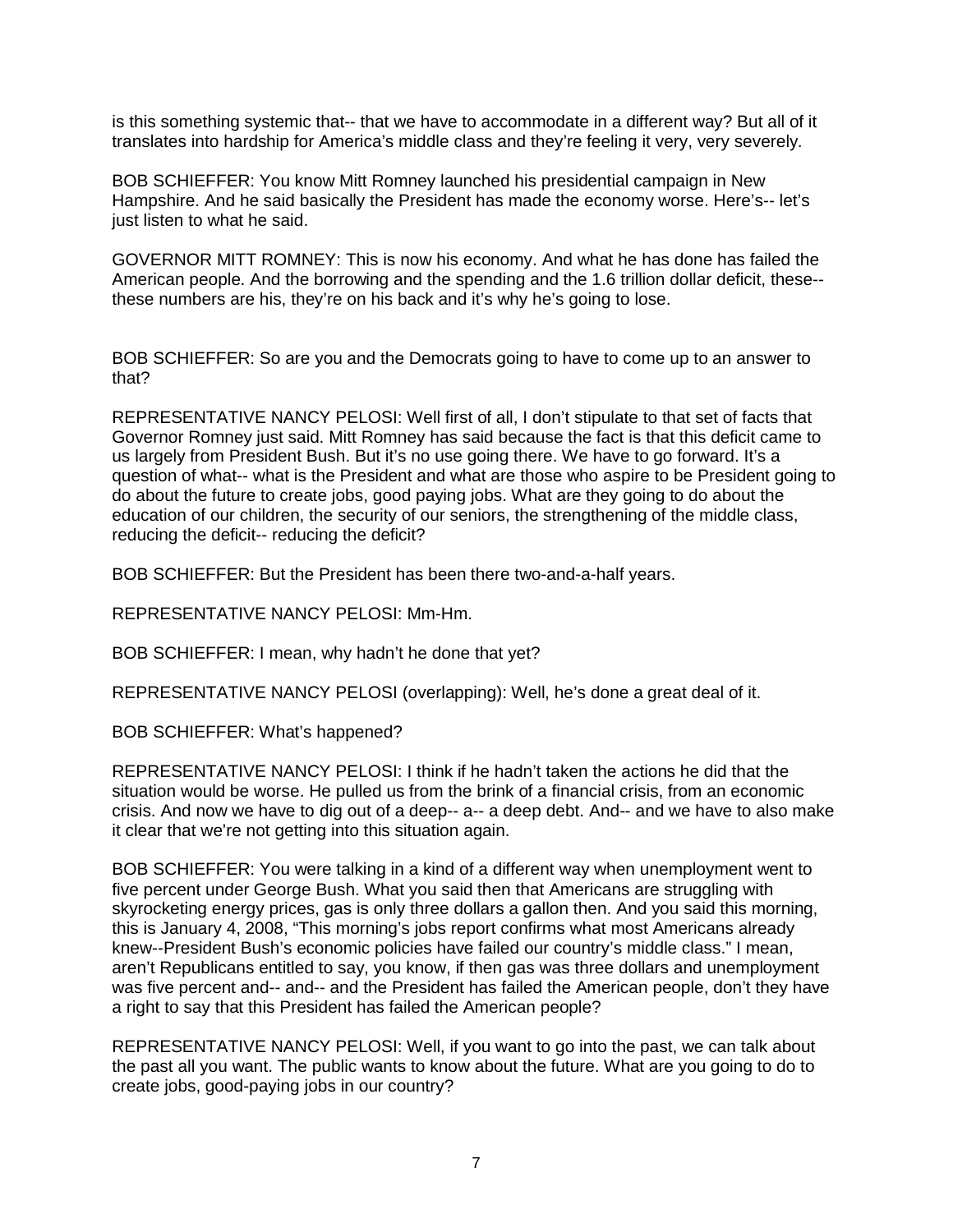is this something systemic that-- that we have to accommodate in a different way? But all of it translates into hardship for America's middle class and they're feeling it very, very severely.

BOB SCHIEFFER: You know Mitt Romney launched his presidential campaign in New Hampshire. And he said basically the President has made the economy worse. Here's-- let's just listen to what he said.

GOVERNOR MITT ROMNEY: This is now his economy. And what he has done has failed the American people. And the borrowing and the spending and the 1.6 trillion dollar deficit, these- these numbers are his, they're on his back and it's why he's going to lose.

BOB SCHIEFFER: So are you and the Democrats going to have to come up to an answer to that?

REPRESENTATIVE NANCY PELOSI: Well first of all, I don't stipulate to that set of facts that Governor Romney just said. Mitt Romney has said because the fact is that this deficit came to us largely from President Bush. But it's no use going there. We have to go forward. It's a question of what-- what is the President and what are those who aspire to be President going to do about the future to create jobs, good paying jobs. What are they going to do about the education of our children, the security of our seniors, the strengthening of the middle class, reducing the deficit-- reducing the deficit?

BOB SCHIEFFER: But the President has been there two-and-a-half years.

REPRESENTATIVE NANCY PELOSI: Mm-Hm.

BOB SCHIEFFER: I mean, why hadn't he done that yet?

REPRESENTATIVE NANCY PELOSI (overlapping): Well, he's done a great deal of it.

BOB SCHIEFFER: What's happened?

REPRESENTATIVE NANCY PELOSI: I think if he hadn't taken the actions he did that the situation would be worse. He pulled us from the brink of a financial crisis, from an economic crisis. And now we have to dig out of a deep-- a-- a deep debt. And-- and we have to also make it clear that we're not getting into this situation again.

BOB SCHIEFFER: You were talking in a kind of a different way when unemployment went to five percent under George Bush. What you said then that Americans are struggling with skyrocketing energy prices, gas is only three dollars a gallon then. And you said this morning, this is January 4, 2008, "This morning's jobs report confirms what most Americans already knew--President Bush's economic policies have failed our country's middle class." I mean, aren't Republicans entitled to say, you know, if then gas was three dollars and unemployment was five percent and-- and-- and the President has failed the American people, don't they have a right to say that this President has failed the American people?

REPRESENTATIVE NANCY PELOSI: Well, if you want to go into the past, we can talk about the past all you want. The public wants to know about the future. What are you going to do to create jobs, good-paying jobs in our country?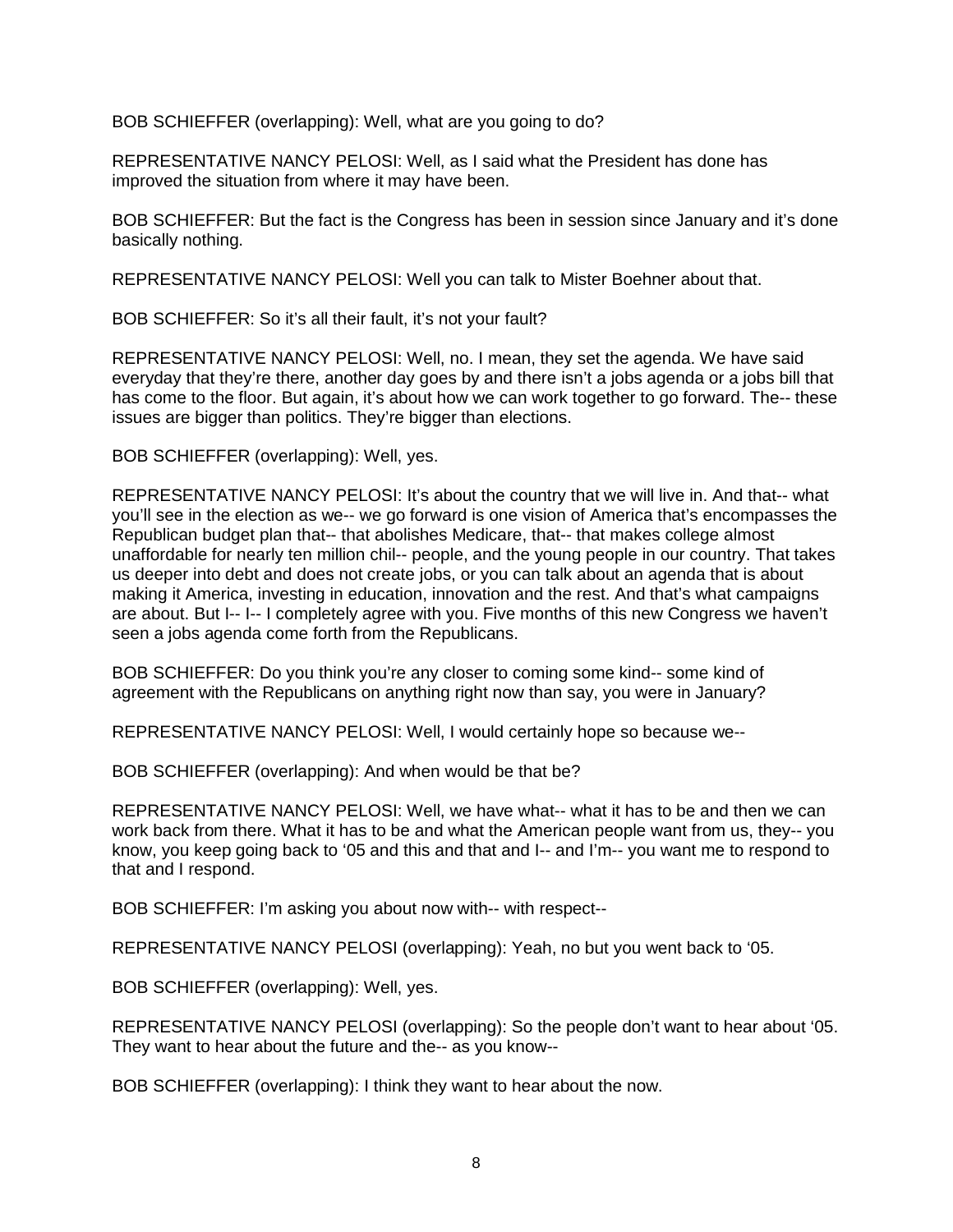BOB SCHIEFFER (overlapping): Well, what are you going to do?

REPRESENTATIVE NANCY PELOSI: Well, as I said what the President has done has improved the situation from where it may have been.

BOB SCHIEFFER: But the fact is the Congress has been in session since January and it's done basically nothing.

REPRESENTATIVE NANCY PELOSI: Well you can talk to Mister Boehner about that.

BOB SCHIEFFER: So it's all their fault, it's not your fault?

REPRESENTATIVE NANCY PELOSI: Well, no. I mean, they set the agenda. We have said everyday that they're there, another day goes by and there isn't a jobs agenda or a jobs bill that has come to the floor. But again, it's about how we can work together to go forward. The-- these issues are bigger than politics. They're bigger than elections.

BOB SCHIEFFER (overlapping): Well, yes.

REPRESENTATIVE NANCY PELOSI: It's about the country that we will live in. And that-- what you'll see in the election as we-- we go forward is one vision of America that's encompasses the Republican budget plan that-- that abolishes Medicare, that-- that makes college almost unaffordable for nearly ten million chil-- people, and the young people in our country. That takes us deeper into debt and does not create jobs, or you can talk about an agenda that is about making it America, investing in education, innovation and the rest. And that's what campaigns are about. But I-- I-- I completely agree with you. Five months of this new Congress we haven't seen a jobs agenda come forth from the Republicans.

BOB SCHIEFFER: Do you think you're any closer to coming some kind-- some kind of agreement with the Republicans on anything right now than say, you were in January?

REPRESENTATIVE NANCY PELOSI: Well, I would certainly hope so because we--

BOB SCHIEFFER (overlapping): And when would be that be?

REPRESENTATIVE NANCY PELOSI: Well, we have what-- what it has to be and then we can work back from there. What it has to be and what the American people want from us, they-- you know, you keep going back to '05 and this and that and I-- and I'm-- you want me to respond to that and I respond.

BOB SCHIEFFER: I'm asking you about now with-- with respect--

REPRESENTATIVE NANCY PELOSI (overlapping): Yeah, no but you went back to '05.

BOB SCHIEFFER (overlapping): Well, yes.

REPRESENTATIVE NANCY PELOSI (overlapping): So the people don't want to hear about '05. They want to hear about the future and the-- as you know--

BOB SCHIEFFER (overlapping): I think they want to hear about the now.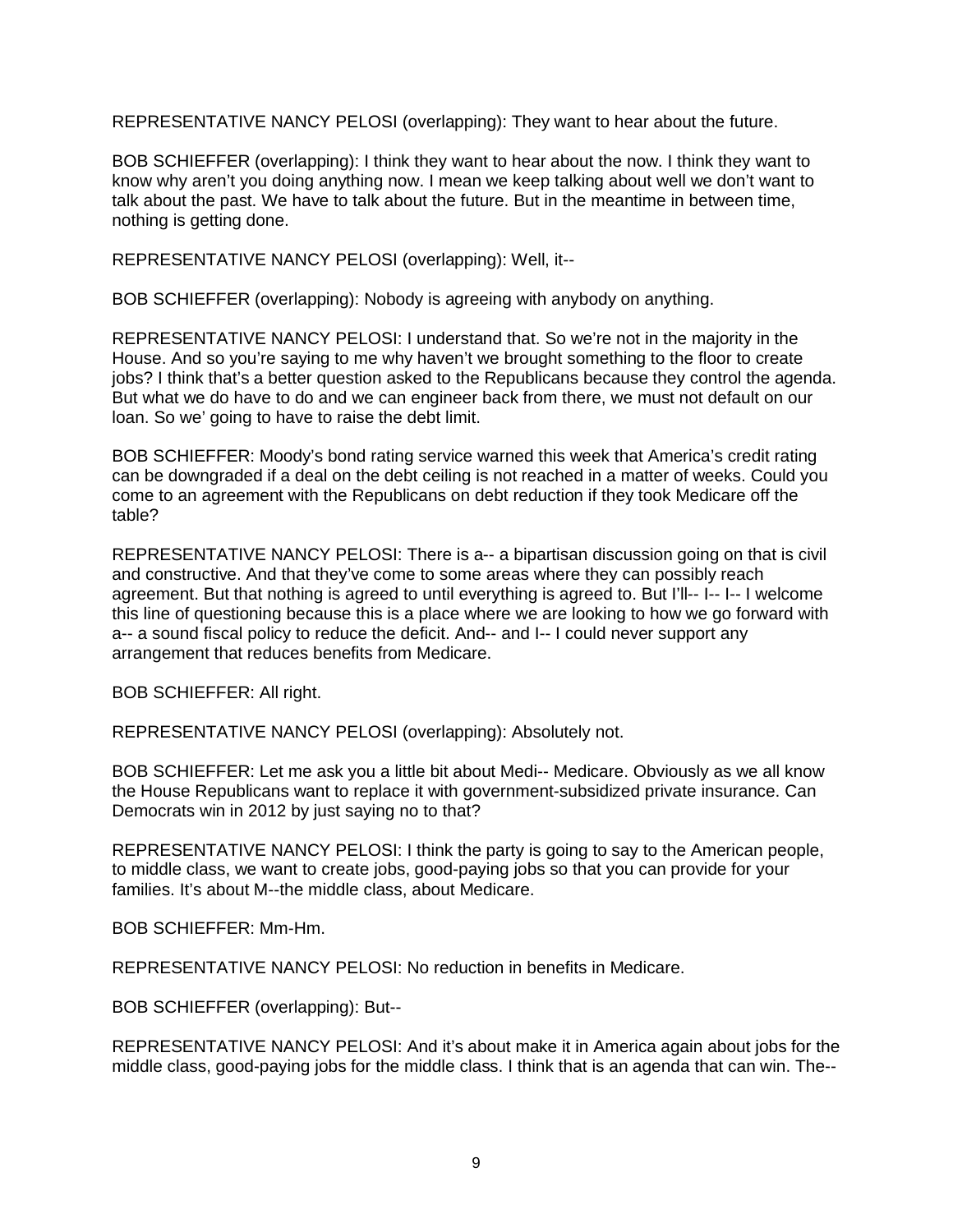REPRESENTATIVE NANCY PELOSI (overlapping): They want to hear about the future.

BOB SCHIEFFER (overlapping): I think they want to hear about the now. I think they want to know why aren't you doing anything now. I mean we keep talking about well we don't want to talk about the past. We have to talk about the future. But in the meantime in between time, nothing is getting done.

REPRESENTATIVE NANCY PELOSI (overlapping): Well, it--

BOB SCHIEFFER (overlapping): Nobody is agreeing with anybody on anything.

REPRESENTATIVE NANCY PELOSI: I understand that. So we're not in the majority in the House. And so you're saying to me why haven't we brought something to the floor to create jobs? I think that's a better question asked to the Republicans because they control the agenda. But what we do have to do and we can engineer back from there, we must not default on our loan. So we' going to have to raise the debt limit.

BOB SCHIEFFER: Moody's bond rating service warned this week that America's credit rating can be downgraded if a deal on the debt ceiling is not reached in a matter of weeks. Could you come to an agreement with the Republicans on debt reduction if they took Medicare off the table?

REPRESENTATIVE NANCY PELOSI: There is a-- a bipartisan discussion going on that is civil and constructive. And that they've come to some areas where they can possibly reach agreement. But that nothing is agreed to until everything is agreed to. But I'll-- I-- I-- I welcome this line of questioning because this is a place where we are looking to how we go forward with a-- a sound fiscal policy to reduce the deficit. And-- and I-- I could never support any arrangement that reduces benefits from Medicare.

BOB SCHIEFFER: All right.

REPRESENTATIVE NANCY PELOSI (overlapping): Absolutely not.

BOB SCHIEFFER: Let me ask you a little bit about Medi-- Medicare. Obviously as we all know the House Republicans want to replace it with government-subsidized private insurance. Can Democrats win in 2012 by just saying no to that?

REPRESENTATIVE NANCY PELOSI: I think the party is going to say to the American people, to middle class, we want to create jobs, good-paying jobs so that you can provide for your families. It's about M--the middle class, about Medicare.

BOB SCHIEFFER: Mm-Hm.

REPRESENTATIVE NANCY PELOSI: No reduction in benefits in Medicare.

BOB SCHIEFFER (overlapping): But--

REPRESENTATIVE NANCY PELOSI: And it's about make it in America again about jobs for the middle class, good-paying jobs for the middle class. I think that is an agenda that can win. The--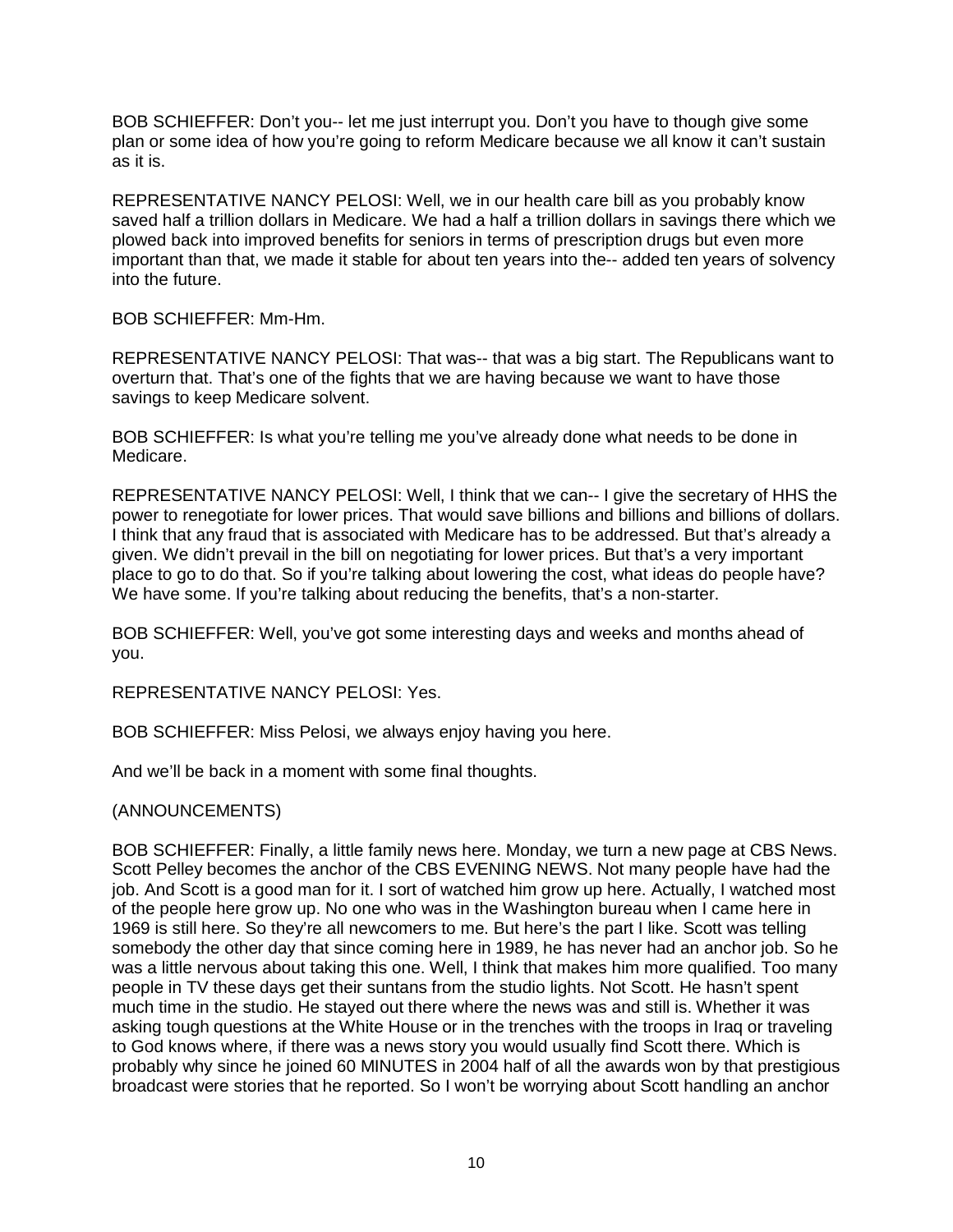BOB SCHIEFFER: Don't you-- let me just interrupt you. Don't you have to though give some plan or some idea of how you're going to reform Medicare because we all know it can't sustain as it is.

REPRESENTATIVE NANCY PELOSI: Well, we in our health care bill as you probably know saved half a trillion dollars in Medicare. We had a half a trillion dollars in savings there which we plowed back into improved benefits for seniors in terms of prescription drugs but even more important than that, we made it stable for about ten years into the-- added ten years of solvency into the future.

BOB SCHIEFFER: Mm-Hm.

REPRESENTATIVE NANCY PELOSI: That was-- that was a big start. The Republicans want to overturn that. That's one of the fights that we are having because we want to have those savings to keep Medicare solvent.

BOB SCHIEFFER: Is what you're telling me you've already done what needs to be done in Medicare.

REPRESENTATIVE NANCY PELOSI: Well, I think that we can-- I give the secretary of HHS the power to renegotiate for lower prices. That would save billions and billions and billions of dollars. I think that any fraud that is associated with Medicare has to be addressed. But that's already a given. We didn't prevail in the bill on negotiating for lower prices. But that's a very important place to go to do that. So if you're talking about lowering the cost, what ideas do people have? We have some. If you're talking about reducing the benefits, that's a non-starter.

BOB SCHIEFFER: Well, you've got some interesting days and weeks and months ahead of you.

REPRESENTATIVE NANCY PELOSI: Yes.

BOB SCHIEFFER: Miss Pelosi, we always enjoy having you here.

And we'll be back in a moment with some final thoughts.

## (ANNOUNCEMENTS)

BOB SCHIEFFER: Finally, a little family news here. Monday, we turn a new page at CBS News. Scott Pelley becomes the anchor of the CBS EVENING NEWS. Not many people have had the job. And Scott is a good man for it. I sort of watched him grow up here. Actually, I watched most of the people here grow up. No one who was in the Washington bureau when I came here in 1969 is still here. So they're all newcomers to me. But here's the part I like. Scott was telling somebody the other day that since coming here in 1989, he has never had an anchor job. So he was a little nervous about taking this one. Well, I think that makes him more qualified. Too many people in TV these days get their suntans from the studio lights. Not Scott. He hasn't spent much time in the studio. He stayed out there where the news was and still is. Whether it was asking tough questions at the White House or in the trenches with the troops in Iraq or traveling to God knows where, if there was a news story you would usually find Scott there. Which is probably why since he joined 60 MINUTES in 2004 half of all the awards won by that prestigious broadcast were stories that he reported. So I won't be worrying about Scott handling an anchor